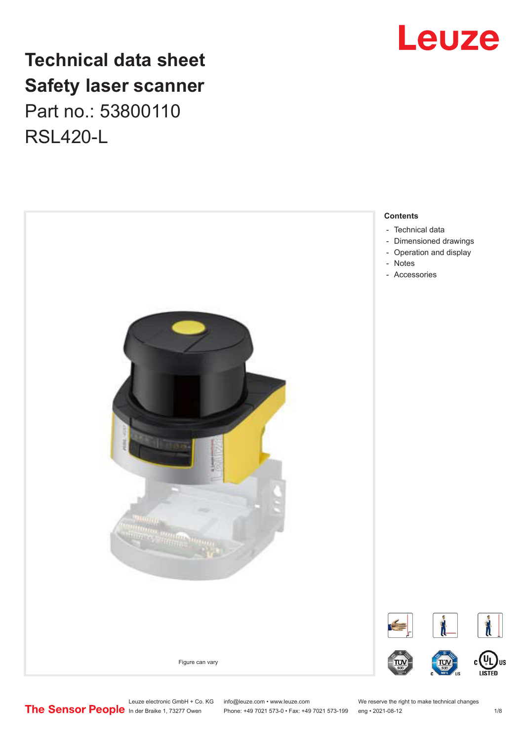## **Technical data sheet Safety laser scanner** Part no.: 53800110 RSL420-L



## Leuze

Leuze electronic GmbH + Co. KG info@leuze.com • www.leuze.com We reserve the right to make technical changes<br>
The Sensor People in der Braike 1, 73277 Owen Phone: +49 7021 573-0 • Fax: +49 7021 573-199 eng • 2021-08-12

Phone: +49 7021 573-0 • Fax: +49 7021 573-199 eng • 2021-08-12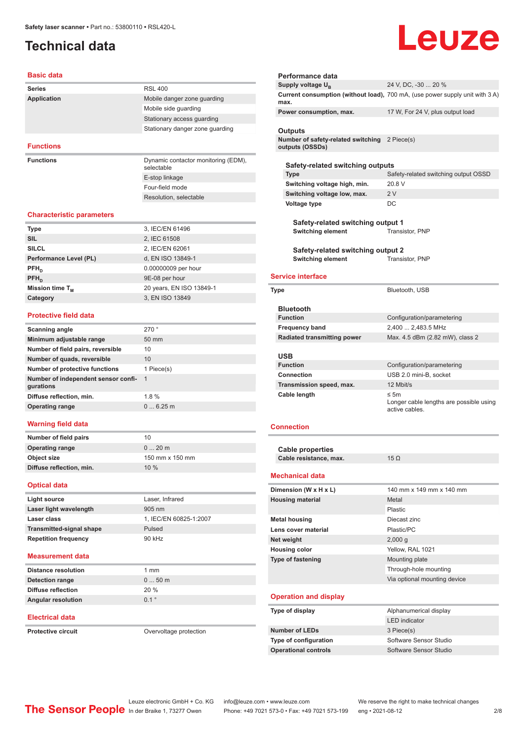## <span id="page-1-0"></span>**Technical data**

# Leuze

#### **Basic data**

| <b>Series</b>      | <b>RSL 400</b>                                    |
|--------------------|---------------------------------------------------|
| <b>Application</b> | Mobile danger zone quarding                       |
|                    | Mobile side quarding                              |
|                    | Stationary access guarding                        |
|                    | Stationary danger zone guarding                   |
|                    |                                                   |
| <b>Functions</b>   |                                                   |
| <b>Functions</b>   | Dynamic contactor monitoring (EDM),<br>selectable |

E-stop linkage Four-field mode Resolution, selectable

#### **Characteristic parameters**

| <b>Type</b>                 | 3, IEC/EN 61496          |
|-----------------------------|--------------------------|
|                             |                          |
| <b>SIL</b>                  | 2, IEC 61508             |
|                             |                          |
| <b>SILCL</b>                | 2, IEC/EN 62061          |
|                             |                          |
| Performance Level (PL)      | d, EN ISO 13849-1        |
| $PFH_n$                     | 0.00000009 per hour      |
|                             |                          |
| $PFH_{n}$                   | 9E-08 per hour           |
|                             |                          |
| Mission time T <sub>M</sub> | 20 years, EN ISO 13849-1 |
|                             |                          |
| Category                    | 3, EN ISO 13849          |
|                             |                          |

#### **Protective field data**

| Scanning angle                                   | 270°            |
|--------------------------------------------------|-----------------|
| Minimum adjustable range                         | $50 \text{ mm}$ |
| Number of field pairs, reversible                | 10              |
| Number of quads, reversible                      | 10              |
| Number of protective functions                   | 1 Piece(s)      |
| Number of independent sensor confi-<br>gurations | $\overline{1}$  |
| Diffuse reflection, min.                         | $1.8\%$         |
| <b>Operating range</b>                           | 06.25m          |
|                                                  |                 |

#### **Warning field data**

| Number of field pairs    | 10              |
|--------------------------|-----------------|
| <b>Operating range</b>   | $020$ m         |
| Object size              | 150 mm x 150 mm |
| Diffuse reflection, min. | 10%             |
|                          |                 |

#### **Optical data**

| Light source                    | Laser, Infrared        |
|---------------------------------|------------------------|
| Laser light wavelength          | $905 \text{ nm}$       |
| Laser class                     | 1. IEC/EN 60825-1:2007 |
| <b>Transmitted-signal shape</b> | Pulsed                 |
| <b>Repetition frequency</b>     | 90 kHz                 |
|                                 |                        |

#### **Measurement data**

| <b>Distance resolution</b> | 1 mm             |
|----------------------------|------------------|
| Detection range            | $050$ m          |
| Diffuse reflection         | 20%              |
| <b>Angular resolution</b>  | $0.1$ $^{\circ}$ |

#### **Electrical data**

**Protective circuit COVER COVER COVER COVER COVER** 

| Performance data                                                 |                                                                              |
|------------------------------------------------------------------|------------------------------------------------------------------------------|
| Supply voltage U <sub>B</sub>                                    | 24 V, DC, -30  20 %                                                          |
| max.                                                             | Current consumption (without load), 700 mA, (use power supply unit with 3 A) |
| Power consumption, max.                                          | 17 W, For 24 V, plus output load                                             |
| <b>Outputs</b>                                                   |                                                                              |
| Number of safety-related switching 2 Piece(s)<br>outputs (OSSDs) |                                                                              |
| Safety-related switching outputs                                 |                                                                              |
| <b>Type</b>                                                      | Safety-related switching output OSSD                                         |
| Switching voltage high, min.                                     | 20.8 V                                                                       |
| Switching voltage low, max.                                      | 2V                                                                           |
| <b>Voltage type</b>                                              | DC                                                                           |
| Safety-related switching output 1                                |                                                                              |
| <b>Switching element</b>                                         | Transistor, PNP                                                              |
| Safety-related switching output 2                                |                                                                              |
| <b>Switching element</b>                                         | Transistor, PNP                                                              |
| <b>Service interface</b>                                         |                                                                              |
| <b>Type</b>                                                      | Bluetooth, USB                                                               |
| <b>Bluetooth</b>                                                 |                                                                              |
| <b>Function</b>                                                  | Configuration/parametering                                                   |
| <b>Frequency band</b>                                            | 2,400  2,483.5 MHz                                                           |
| Radiated transmitting power                                      | Max. 4.5 dBm (2.82 mW), class 2                                              |
|                                                                  |                                                                              |

| <b>USB</b>               |                                                                        |
|--------------------------|------------------------------------------------------------------------|
| <b>Function</b>          | Configuration/parametering                                             |
| Connection               | USB 2.0 mini-B, socket                                                 |
| Transmission speed, max. | 12 Mbit/s                                                              |
| Cable length             | $\leq$ 5m<br>Longer cable lengths are possible using<br>active cables. |

#### **Connection**

| Cable properties       |                          |
|------------------------|--------------------------|
| Cable resistance, max. | $15 \Omega$              |
| Mechanical data        |                          |
| Dimension (W x H x L)  | 140 mm x 149 mm x 140 mm |

| <b>Housing material</b>  | Metal                        |
|--------------------------|------------------------------|
|                          | Plastic                      |
| <b>Metal housing</b>     | Diecast zinc                 |
| Lens cover material      | Plastic/PC                   |
| Net weight               | 2,000q                       |
| <b>Housing color</b>     | Yellow, RAL 1021             |
| <b>Type of fastening</b> | Mounting plate               |
|                          | Through-hole mounting        |
|                          | Via optional mounting device |
|                          |                              |

#### **Operation and display**

| Type of display              | Alphanumerical display |
|------------------------------|------------------------|
|                              | <b>LED</b> indicator   |
| <b>Number of LEDs</b>        | 3 Piece(s)             |
| <b>Type of configuration</b> | Software Sensor Studio |
| <b>Operational controls</b>  | Software Sensor Studio |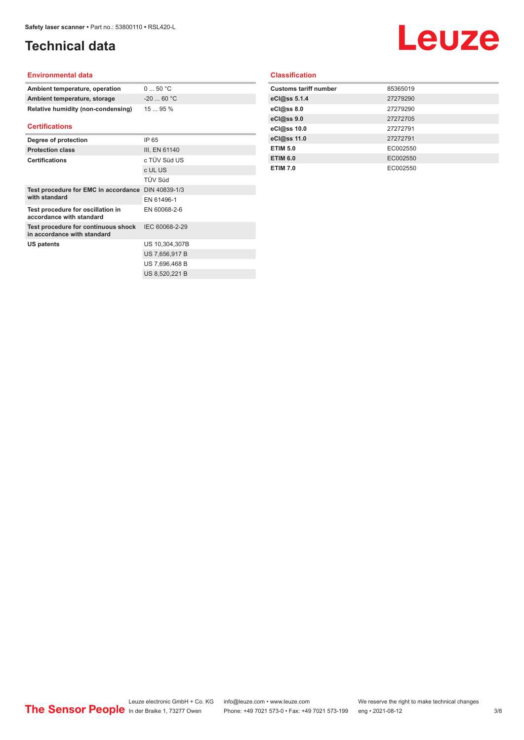## **Technical data**

## Leuze

#### **Environmental data**

| Ambient temperature, operation     | 050 °C     |
|------------------------------------|------------|
| Ambient temperature, storage       | $-2060 °C$ |
| Relative humidity (non-condensing) | 1595%      |

#### **Certifications**

| Degree of protection                                               | IP 65          |
|--------------------------------------------------------------------|----------------|
| <b>Protection class</b>                                            | III, EN 61140  |
| <b>Certifications</b>                                              | c TÜV Süd US   |
|                                                                    | c UL US        |
|                                                                    | TÜV Süd        |
| Test procedure for EMC in accordance                               | DIN 40839-1/3  |
| with standard                                                      | FN 61496-1     |
| Test procedure for oscillation in<br>accordance with standard      | EN 60068-2-6   |
| Test procedure for continuous shock<br>in accordance with standard | IEC 60068-2-29 |
| US patents                                                         | US 10.304.307B |
|                                                                    | US 7,656,917 B |
|                                                                    | US 7.696.468 B |
|                                                                    | US 8.520.221 B |

#### **Classification**

| 85365019 |
|----------|
| 27279290 |
| 27279290 |
| 27272705 |
| 27272791 |
| 27272791 |
| EC002550 |
| EC002550 |
| EC002550 |
|          |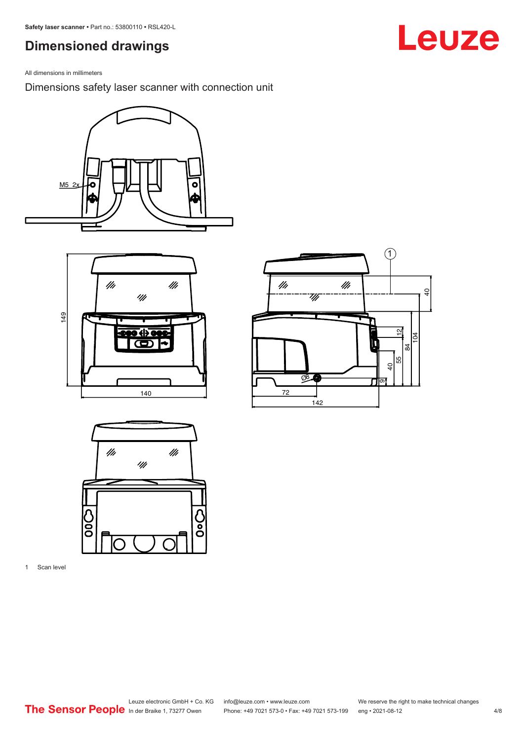## <span id="page-3-0"></span>**Dimensioned drawings**

All dimensions in millimeters

Dimensions safety laser scanner with connection unit









1 Scan level

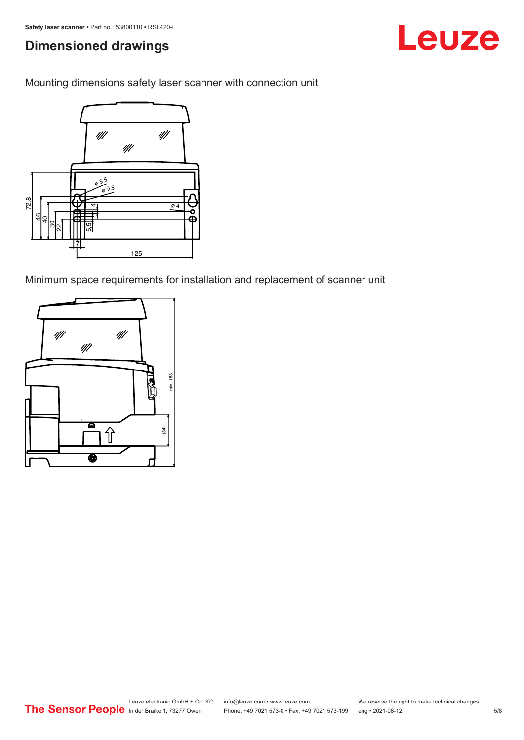## **Dimensioned drawings**

Leuze

Mounting dimensions safety laser scanner with connection unit



Minimum space requirements for installation and replacement of scanner unit

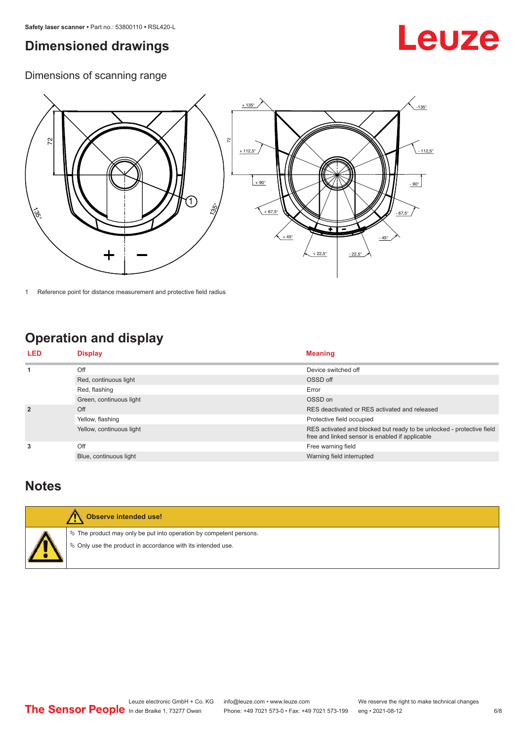## <span id="page-5-0"></span>**Dimensioned drawings**

## Leuze

Dimensions of scanning range



1 Reference point for distance measurement and protective field radius

## **Operation and display**

| <b>LED</b>     | <b>Display</b>           | <b>Meaning</b>                                                                                                           |
|----------------|--------------------------|--------------------------------------------------------------------------------------------------------------------------|
| 1              | Off                      | Device switched off                                                                                                      |
|                | Red, continuous light    | OSSD off                                                                                                                 |
|                | Red, flashing            | Error                                                                                                                    |
|                | Green, continuous light  | OSSD on                                                                                                                  |
| $\overline{2}$ | Off                      | RES deactivated or RES activated and released                                                                            |
|                | Yellow, flashing         | Protective field occupied                                                                                                |
|                | Yellow, continuous light | RES activated and blocked but ready to be unlocked - protective field<br>free and linked sensor is enabled if applicable |
| 3              | Off                      | Free warning field                                                                                                       |
|                | Blue, continuous light   | Warning field interrupted                                                                                                |

### **Notes**



#### **Observe intended use!**

 $\%$  The product may only be put into operation by competent persons.

 $\%$  Only use the product in accordance with its intended use.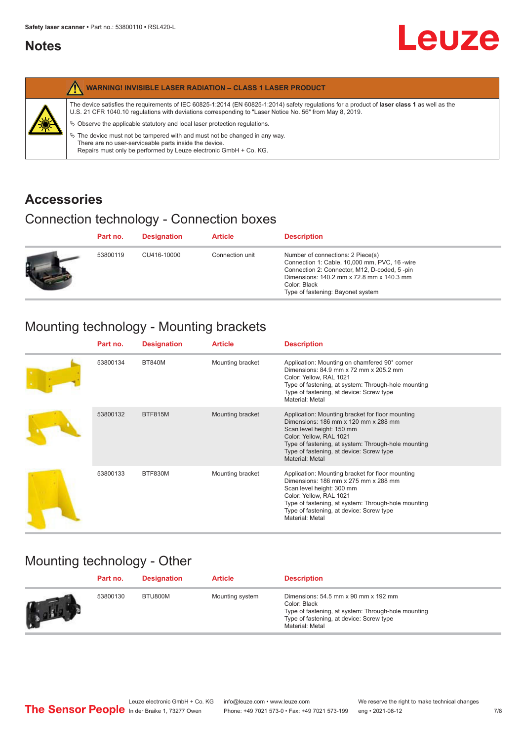### <span id="page-6-0"></span>**Notes**

|   | <b>WARNING! INVISIBLE LASER RADIATION - CLASS 1 LASER PRODUCT</b>                                                                                                                                                                                                                                                                                                                                                                                                                                                                                         |
|---|-----------------------------------------------------------------------------------------------------------------------------------------------------------------------------------------------------------------------------------------------------------------------------------------------------------------------------------------------------------------------------------------------------------------------------------------------------------------------------------------------------------------------------------------------------------|
| 纂 | The device satisfies the requirements of IEC 60825-1:2014 (EN 60825-1:2014) safety requlations for a product of laser class 1 as well as the<br>U.S. 21 CFR 1040.10 regulations with deviations corresponding to "Laser Notice No. 56" from May 8, 2019.<br>$\&$ Observe the applicable statutory and local laser protection regulations.<br>$\%$ The device must not be tampered with and must not be changed in any way.<br>There are no user-serviceable parts inside the device.<br>Repairs must only be performed by Leuze electronic GmbH + Co. KG. |

## **Accessories**

## Connection technology - Connection boxes

|   | Part no. | <b>Designation</b> | <b>Article</b>  | <b>Description</b>                                                                                                                                                                                                                   |
|---|----------|--------------------|-----------------|--------------------------------------------------------------------------------------------------------------------------------------------------------------------------------------------------------------------------------------|
| Ð | 53800119 | CU416-10000        | Connection unit | Number of connections: 2 Piece(s)<br>Connection 1: Cable, 10,000 mm, PVC, 16 -wire<br>Connection 2: Connector, M12, D-coded, 5-pin<br>Dimensions: 140.2 mm x 72.8 mm x 140.3 mm<br>Color: Black<br>Type of fastening: Bayonet system |

## Mounting technology - Mounting brackets

| Part no. | <b>Designation</b> | <b>Article</b>   | <b>Description</b>                                                                                                                                                                                                                                                     |
|----------|--------------------|------------------|------------------------------------------------------------------------------------------------------------------------------------------------------------------------------------------------------------------------------------------------------------------------|
| 53800134 | <b>BT840M</b>      | Mounting bracket | Application: Mounting on chamfered 90° corner<br>Dimensions: 84.9 mm x 72 mm x 205.2 mm<br>Color: Yellow, RAL 1021<br>Type of fastening, at system: Through-hole mounting<br>Type of fastening, at device: Screw type<br>Material: Metal                               |
| 53800132 | <b>BTF815M</b>     | Mounting bracket | Application: Mounting bracket for floor mounting<br>Dimensions: 186 mm x 120 mm x 288 mm<br>Scan level height: 150 mm<br>Color: Yellow, RAL 1021<br>Type of fastening, at system: Through-hole mounting<br>Type of fastening, at device: Screw type<br>Material: Metal |
| 53800133 | BTF830M            | Mounting bracket | Application: Mounting bracket for floor mounting<br>Dimensions: 186 mm x 275 mm x 288 mm<br>Scan level height: 300 mm<br>Color: Yellow, RAL 1021<br>Type of fastening, at system: Through-hole mounting<br>Type of fastening, at device: Screw type<br>Material: Metal |

## Mounting technology - Other

| Part no. | <b>Designation</b> | <b>Article</b>  | <b>Description</b>                                                                                                                                                               |
|----------|--------------------|-----------------|----------------------------------------------------------------------------------------------------------------------------------------------------------------------------------|
| 53800130 | BTU800M            | Mounting system | Dimensions: $54.5$ mm $x$ 90 mm $x$ 192 mm<br>Color: Black<br>Type of fastening, at system: Through-hole mounting<br>Type of fastening, at device: Screw type<br>Material: Metal |

**Leuze**